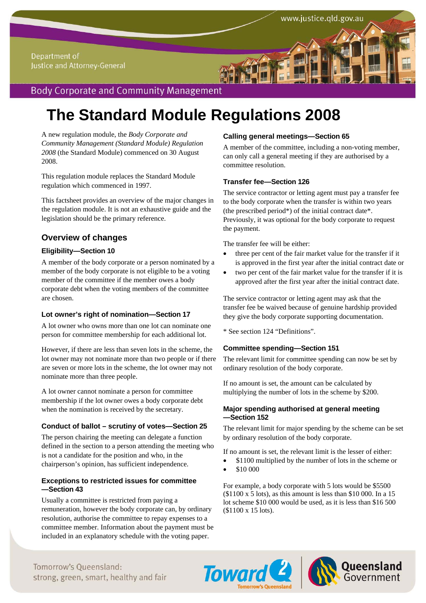## **Body Corporate and Community Management**

# **The Standard Module Regulations 2008**

A new regulation module, the *Body Corporate and Community Management (Standard Module) Regulation 2008* (the Standard Module) commenced on 30 August 2008.

This regulation module replaces the Standard Module regulation which commenced in 1997.

This factsheet provides an overview of the major changes in the regulation module. It is not an exhaustive guide and the legislation should be the primary reference.

### **Overview of changes**

#### **Eligibility—Section 10**

A member of the body corporate or a person nominated by a member of the body corporate is not eligible to be a voting member of the committee if the member owes a body corporate debt when the voting members of the committee are chosen.

#### **Lot owner's right of nomination—Section 17**

A lot owner who owns more than one lot can nominate one person for committee membership for each additional lot.

However, if there are less than seven lots in the scheme, the lot owner may not nominate more than two people or if there are seven or more lots in the scheme, the lot owner may not nominate more than three people.

A lot owner cannot nominate a person for committee membership if the lot owner owes a body corporate debt when the nomination is received by the secretary.

#### **Conduct of ballot – scrutiny of votes—Section 25**

The person chairing the meeting can delegate a function defined in the section to a person attending the meeting who is not a candidate for the position and who, in the chairperson's opinion, has sufficient independence.

#### **Exceptions to restricted issues for committee —Section 43**

Usually a committee is restricted from paying a remuneration, however the body corporate can, by ordinary resolution, authorise the committee to repay expenses to a committee member. Information about the payment must be included in an explanatory schedule with the voting paper.

#### **Calling general meetings—Section 65**

A member of the committee, including a non-voting member, can only call a general meeting if they are authorised by a committee resolution.

#### **Transfer fee—Section 126**

The service contractor or letting agent must pay a transfer fee to the body corporate when the transfer is within two years (the prescribed period\*) of the initial contract date\*. Previously, it was optional for the body corporate to request the payment.

The transfer fee will be either:

- three per cent of the fair market value for the transfer if it is approved in the first year after the initial contract date or
- two per cent of the fair market value for the transfer if it is approved after the first year after the initial contract date.

The service contractor or letting agent may ask that the transfer fee be waived because of genuine hardship provided they give the body corporate supporting documentation.

\* See section 124 "Definitions".

#### **Committee spending—Section 151**

The relevant limit for committee spending can now be set by ordinary resolution of the body corporate.

If no amount is set, the amount can be calculated by multiplying the number of lots in the scheme by \$200.

#### **Major spending authorised at general meeting —Section 152**

The relevant limit for major spending by the scheme can be set by ordinary resolution of the body corporate.

If no amount is set, the relevant limit is the lesser of either:

- \$1100 multiplied by the number of lots in the scheme or
- \$10 000

For example, a body corporate with 5 lots would be \$5500  $($1100 \times 5 \text{ lots})$ , as this amount is less than \$10 000. In a 15 lot scheme \$10 000 would be used, as it is less than \$16 500 (\$1100 x 15 lots).